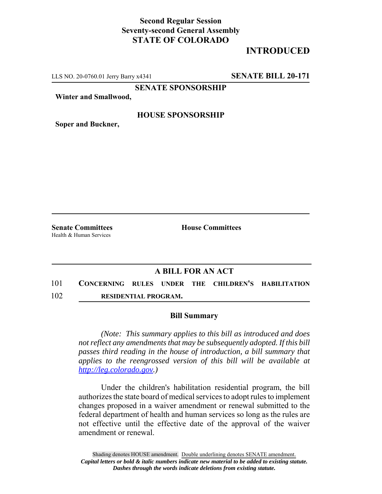## **Second Regular Session Seventy-second General Assembly STATE OF COLORADO**

# **INTRODUCED**

LLS NO. 20-0760.01 Jerry Barry x4341 **SENATE BILL 20-171**

**SENATE SPONSORSHIP**

**Winter and Smallwood,**

#### **HOUSE SPONSORSHIP**

**Soper and Buckner,**

Health & Human Services

**Senate Committees House Committees** 

### **A BILL FOR AN ACT**

- 101 **CONCERNING RULES UNDER THE CHILDREN'S HABILITATION**
- 102 **RESIDENTIAL PROGRAM.**

#### **Bill Summary**

*(Note: This summary applies to this bill as introduced and does not reflect any amendments that may be subsequently adopted. If this bill passes third reading in the house of introduction, a bill summary that applies to the reengrossed version of this bill will be available at http://leg.colorado.gov.)*

Under the children's habilitation residential program, the bill authorizes the state board of medical services to adopt rules to implement changes proposed in a waiver amendment or renewal submitted to the federal department of health and human services so long as the rules are not effective until the effective date of the approval of the waiver amendment or renewal.